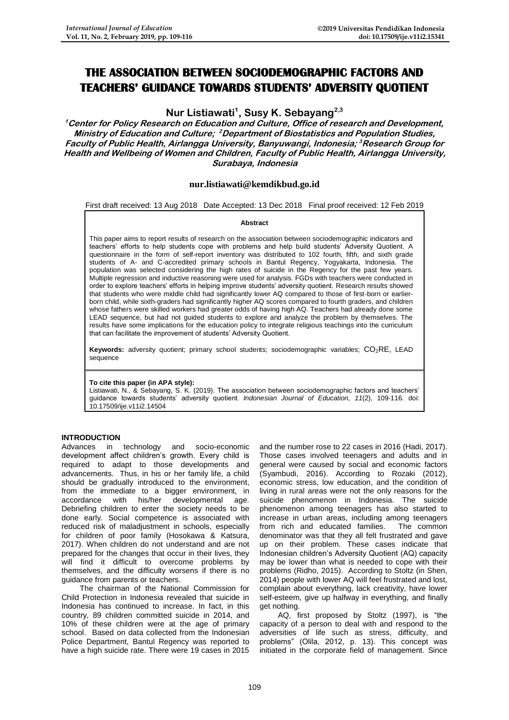# **THE ASSOCIATION BETWEEN SOCIODEMOGRAPHIC FACTORS AND TEACHERS' GUIDANCE TOWARDS STUDENTS' ADVERSITY QUOTIENT**

**Nur Listiawati<sup>1</sup> , Susy K. Sebayang2,3**

**<sup>1</sup>Center for Policy Research on Education and Culture, Office of research and Development, Ministry of Education and Culture; <sup>2</sup>Department of Biostatistics and Population Studies, Faculty of Public Health, Airlangga University, Banyuwangi, Indonesia; <sup>3</sup>Research Group for Health and Wellbeing of Women and Children, Faculty of Public Health, Airlangga University, Surabaya, Indonesia**

## **[nur.listiawati@kemdikbud.go.id](mailto:nur.listiawati@kemdikbud.go.id)**

## First draft received: 13 Aug 2018 Date Accepted: 13 Dec 2018 Final proof received: 12 Feb 2019

## **Abstract**

This paper aims to report results of research on the association between sociodemographic indicators and teachers' efforts to help students cope with problems and help build students' Adversity Quotient. A questionnaire in the form of self-report inventory was distributed to 102 fourth, fifth, and sixth grade students of A- and C-accredited primary schools in Bantul Regency, Yogyakarta, Indonesia. The population was selected considering the high rates of suicide in the Regency for the past few years. Multiple regression and inductive reasoning were used for analysis. FGDs with teachers were conducted in order to explore teachers' efforts in helping improve students' adversity quotient. Research results showed that students who were middle child had significantly lower AQ compared to those of first-born or earlierborn child, while sixth-graders had significantly higher AQ scores compared to fourth graders, and children whose fathers were skilled workers had greater odds of having high AQ. Teachers had already done some LEAD sequence, but had not guided students to explore and analyze the problem by themselves. The results have some implications for the education policy to integrate religious teachings into the curriculum that can facilitate the improvement of students' Adversity Quotient.

Keywords: adversity quotient; primary school students; sociodemographic variables; CO<sub>2</sub>RE, LEAD sequence

## **To cite this paper (in APA style):**

Listiawati, N., & Sebayang, S. K. (2019). The association between sociodemographic factors and teachers' guidance towards students' adversity quotient. *Indonesian Journal of Education, 11*(2), 109-116. doi: 10.17509/ije.v11i2.14504

## **INTRODUCTION**

Advances in technology and socio-economic development affect children's growth. Every child is required to adapt to those developments and advancements. Thus, in his or her family life, a child should be gradually introduced to the environment, from the immediate to a bigger environment, in accordance with his/her developmental age. Debriefing children to enter the society needs to be done early. Social competence is associated with reduced risk of maladjustment in schools, especially for children of poor family (Hosokawa & Katsura, 2017). When children do not understand and are not prepared for the changes that occur in their lives, they will find it difficult to overcome problems by themselves, and the difficulty worsens if there is no guidance from parents or teachers.

The chairman of the National Commission for Child Protection in Indonesia revealed that suicide in Indonesia has continued to increase. In fact, in this country, 89 children committed suicide in 2014, and 10% of these children were at the age of primary school. Based on data collected from the Indonesian Police Department, Bantul Regency was reported to have a high suicide rate. There were 19 cases in 2015

and the number rose to 22 cases in 2016 (Hadi, 2017). Those cases involved teenagers and adults and in general were caused by social and economic factors (Syambudi, 2016). According to Rozaki (2012), economic stress, low education, and the condition of living in rural areas were not the only reasons for the suicide phenomenon in Indonesia. The suicide phenomenon among teenagers has also started to increase in urban areas, including among teenagers from rich and educated families. The common denominator was that they all felt frustrated and gave up on their problem. These cases indicate that Indonesian children's Adversity Quotient (AQ) capacity may be lower than what is needed to cope with their problems (Ridho, 2015). According to Stoltz (in Shen, 2014) people with lower AQ will feel frustrated and lost, complain about everything, lack creativity, have lower self-esteem, give up halfway in everything, and finally get nothing.

AQ, first proposed by Stoltz (1997), is "the capacity of a person to deal with and respond to the adversities of life such as stress, difficulty, and problems" (Olila, 2012, p. 13). This concept was initiated in the corporate field of management. Since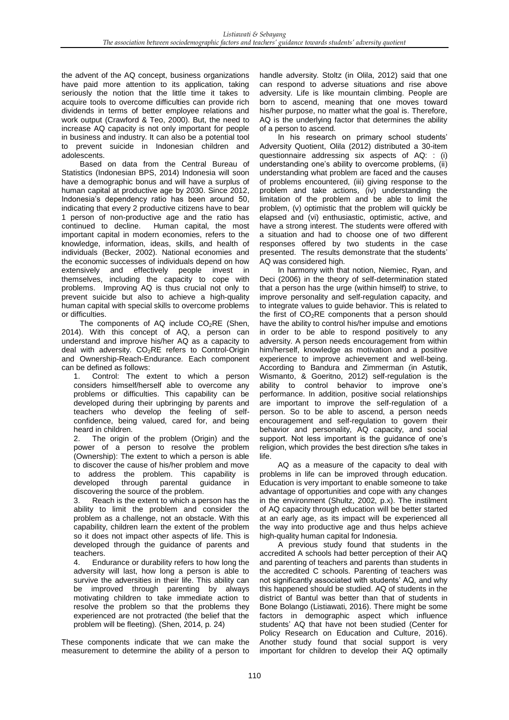the advent of the AQ concept, business organizations have paid more attention to its application, taking seriously the notion that the little time it takes to acquire tools to overcome difficulties can provide rich dividends in terms of better employee relations and work output (Crawford & Teo, 2000). But, the need to increase AQ capacity is not only important for people in business and industry. It can also be a potential tool to prevent suicide in Indonesian children and adolescents.

Based on data from the Central Bureau of Statistics (Indonesian BPS, 2014) Indonesia will soon have a demographic bonus and will have a surplus of human capital at productive age by 2030. Since 2012, Indonesia's dependency ratio has been around 50, indicating that every 2 productive citizens have to bear 1 person of non-productive age and the ratio has continued to decline. Human capital, the most important capital in modern economies, refers to the knowledge, information, ideas, skills, and health of individuals (Becker, 2002). National economies and the economic successes of individuals depend on how extensively and effectively people invest in themselves, including the capacity to cope with problems. Improving AQ is thus crucial not only to prevent suicide but also to achieve a high-quality human capital with special skills to overcome problems or difficulties.

The components of AQ include  $CO<sub>2</sub>RE$  (Shen, 2014). With this concept of AQ, a person can understand and improve his/her AQ as a capacity to deal with adversity. CO<sub>2</sub>RE refers to Control-Origin and Ownership-Reach-Endurance. Each component can be defined as follows:

1. Control: The extent to which a person considers himself/herself able to overcome any problems or difficulties. This capability can be developed during their upbringing by parents and teachers who develop the feeling of selfconfidence, being valued, cared for, and being heard in children.

2. The origin of the problem (Origin) and the power of a person to resolve the problem (Ownership): The extent to which a person is able to discover the cause of his/her problem and move to address the problem. This capability is developed through parental guidance in discovering the source of the problem.

3. Reach is the extent to which a person has the ability to limit the problem and consider the problem as a challenge, not an obstacle. With this capability, children learn the extent of the problem so it does not impact other aspects of life. This is developed through the guidance of parents and teachers.

4. Endurance or durability refers to how long the adversity will last, how long a person is able to survive the adversities in their life. This ability can be improved through parenting by always motivating children to take immediate action to resolve the problem so that the problems they experienced are not protracted (the belief that the problem will be fleeting). (Shen, 2014, p. 24)

These components indicate that we can make the measurement to determine the ability of a person to

handle adversity. Stoltz (in Olila, 2012) said that one can respond to adverse situations and rise above adversity. Life is like mountain climbing. People are born to ascend, meaning that one moves toward his/her purpose, no matter what the goal is. Therefore, AQ is the underlying factor that determines the ability of a person to ascend.

In his research on primary school students' Adversity Quotient, Olila (2012) distributed a 30-item questionnaire addressing six aspects of AQ: : (i) understanding one's ability to overcome problems, (ii) understanding what problem are faced and the causes of problems encountered, (iii) giving response to the problem and take actions, (iv) understanding the limitation of the problem and be able to limit the problem, (v) optimistic that the problem will quickly be elapsed and (vi) enthusiastic, optimistic, active, and have a strong interest. The students were offered with a situation and had to choose one of two different responses offered by two students in the case presented. The results demonstrate that the students' AQ was considered high.

In harmony with that notion, Niemiec, Ryan, and Deci (2006) in the theory of self-determination stated that a person has the urge (within himself) to strive, to improve personality and self-regulation capacity, and to integrate values to guide behavior. This is related to the first of  $CO<sub>2</sub>RE$  components that a person should have the ability to control his/her impulse and emotions in order to be able to respond positively to any adversity. A person needs encouragement from within him/herself, knowledge as motivation and a positive experience to improve achievement and well-being. According to Bandura and Zimmerman (in Astutik, Wismanto, & Goeritno, 2012) self-regulation is the ability to control behavior to improve one's performance. In addition, positive social relationships are important to improve the self-regulation of a person. So to be able to ascend, a person needs encouragement and self-regulation to govern their behavior and personality, AQ capacity, and social support. Not less important is the guidance of one's religion, which provides the best direction s/he takes in life.

AQ as a measure of the capacity to deal with problems in life can be improved through education. Education is very important to enable someone to take advantage of opportunities and cope with any changes in the environment (Shultz, 2002, p.x). The instilment of AQ capacity through education will be better started at an early age, as its impact will be experienced all the way into productive age and thus helps achieve high-quality human capital for Indonesia.

A previous study found that students in the accredited A schools had better perception of their AQ and parenting of teachers and parents than students in the accredited C schools. Parenting of teachers was not significantly associated with students' AQ, and why this happened should be studied. AQ of students in the district of Bantul was better than that of students in Bone Bolango (Listiawati, 2016). There might be some factors in demographic aspect which influence students' AQ that have not been studied (Center for Policy Research on Education and Culture, 2016). Another study found that social support is very important for children to develop their AQ optimally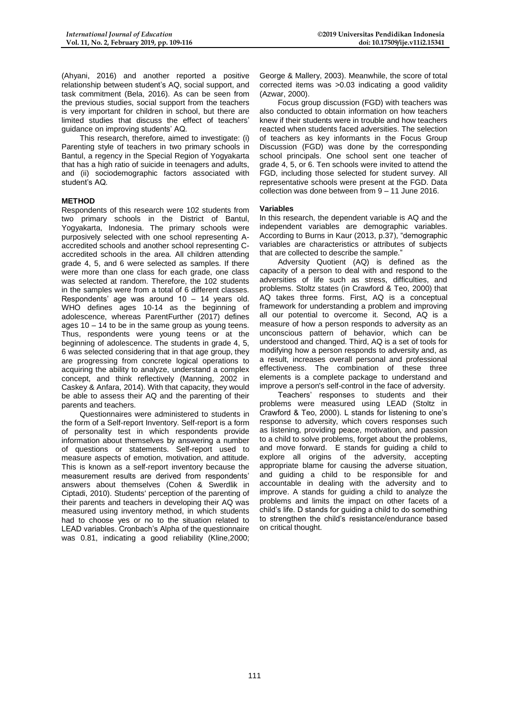(Ahyani, 2016) and another reported a positive relationship between student's AQ, social support, and task commitment (Bela, 2016). As can be seen from the previous studies, social support from the teachers is very important for children in school, but there are limited studies that discuss the effect of teachers' guidance on improving students' AQ.

This research, therefore, aimed to investigate: (i) Parenting style of teachers in two primary schools in Bantul, a regency in the Special Region of Yogyakarta that has a high ratio of suicide in teenagers and adults, and (ii) sociodemographic factors associated with student's AQ.

## **METHOD**

Respondents of this research were 102 students from two primary schools in the District of Bantul, Yogyakarta, Indonesia. The primary schools were purposively selected with one school representing Aaccredited schools and another school representing Caccredited schools in the area. All children attending grade 4, 5, and 6 were selected as samples. If there were more than one class for each grade, one class was selected at random. Therefore, the 102 students in the samples were from a total of 6 different classes. Respondents' age was around 10 – 14 years old. WHO defines ages 10-14 as the beginning of adolescence, whereas ParentFurther (2017) defines ages  $10 - 14$  to be in the same group as young teens. Thus, respondents were young teens or at the beginning of adolescence. The students in grade 4, 5, 6 was selected considering that in that age group, they are progressing from concrete logical operations to acquiring the ability to analyze, understand a complex concept, and think reflectively (Manning, 2002 in Caskey & Anfara, 2014). With that capacity, they would be able to assess their AQ and the parenting of their parents and teachers.

Questionnaires were administered to students in the form of a Self-report Inventory. Self-report is a form of personality test in which respondents provide information about themselves by answering a number of questions or statements. Self-report used to measure aspects of emotion, motivation, and attitude. This is known as a self-report inventory because the measurement results are derived from respondents' answers about themselves (Cohen & Swerdlik in Ciptadi, 2010). Students' perception of the parenting of their parents and teachers in developing their AQ was measured using inventory method, in which students had to choose yes or no to the situation related to LEAD variables. Cronbach's Alpha of the questionnaire was 0.81, indicating a good reliability (Kline,2000;

George & Mallery, 2003). Meanwhile, the score of total corrected items was >0.03 indicating a good validity (Azwar, 2000).

Focus group discussion (FGD) with teachers was also conducted to obtain information on how teachers knew if their students were in trouble and how teachers reacted when students faced adversities. The selection of teachers as key informants in the Focus Group Discussion (FGD) was done by the corresponding school principals. One school sent one teacher of grade 4, 5, or 6. Ten schools were invited to attend the FGD, including those selected for student survey. All representative schools were present at the FGD. Data collection was done between from 9 – 11 June 2016.

## **Variables**

In this research, the dependent variable is AQ and the independent variables are demographic variables. According to Burns in Kaur (2013, p.37), "demographic variables are characteristics or attributes of subjects that are collected to describe the sample."

Adversity Quotient (AQ) is defined as the capacity of a person to deal with and respond to the adversities of life such as stress, difficulties, and problems. Stoltz states (in Crawford & Teo, 2000) that AQ takes three forms. First, AQ is a conceptual framework for understanding a problem and improving all our potential to overcome it. Second, AQ is a measure of how a person responds to adversity as an unconscious pattern of behavior, which can be understood and changed. Third, AQ is a set of tools for modifying how a person responds to adversity and, as a result, increases overall personal and professional effectiveness. The combination of these three elements is a complete package to understand and improve a person's self-control in the face of adversity.

Teachers' responses to students and their problems were measured using LEAD (Stoltz in Crawford & Teo, 2000). L stands for listening to one's response to adversity, which covers responses such as listening, providing peace, motivation, and passion to a child to solve problems, forget about the problems, and move forward. E stands for guiding a child to explore all origins of the adversity, accepting appropriate blame for causing the adverse situation, and guiding a child to be responsible for and accountable in dealing with the adversity and to improve. A stands for guiding a child to analyze the problems and limits the impact on other facets of a child's life. D stands for guiding a child to do something to strengthen the child's resistance/endurance based on critical thought.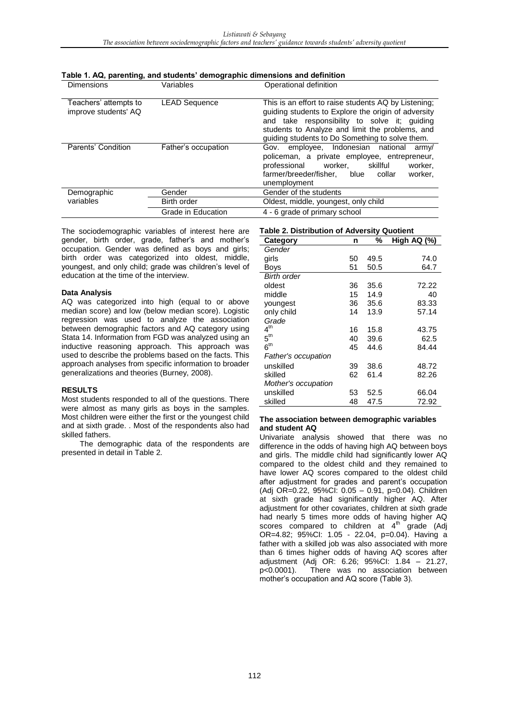| Dimensions                                    | Variables            | Operational definition                                                                                                                                                                                                                                            |  |  |  |  |
|-----------------------------------------------|----------------------|-------------------------------------------------------------------------------------------------------------------------------------------------------------------------------------------------------------------------------------------------------------------|--|--|--|--|
| Teachers' attempts to<br>improve students' AQ | <b>LEAD Sequence</b> | This is an effort to raise students AQ by Listening;<br>guiding students to Explore the origin of adversity<br>and take responsibility to solve it; guiding<br>students to Analyze and limit the problems, and<br>guiding students to Do Something to solve them. |  |  |  |  |
| Parents' Condition                            | Father's occupation  | employee, Indonesian national<br>Gov.<br>army/<br>policeman, a private employee, entrepreneur,<br>skillful<br>professional<br>worker.<br>worker,<br>farmer/breeder/fisher,<br>blue<br>worker,<br>collar<br>unemployment                                           |  |  |  |  |
| Demographic                                   | Gender               | Gender of the students                                                                                                                                                                                                                                            |  |  |  |  |
| variables                                     | Birth order          | Oldest, middle, youngest, only child                                                                                                                                                                                                                              |  |  |  |  |
|                                               | Grade in Education   | 4 - 6 grade of primary school                                                                                                                                                                                                                                     |  |  |  |  |

**Table 1. AQ, parenting, and students' demographic dimensions and definition** 

The sociodemographic variables of interest here are gender, birth order, grade, father's and mother's occupation. Gender was defined as boys and girls; birth order was categorized into oldest, middle, youngest, and only child; grade was children's level of education at the time of the interview.

## **Data Analysis**

AQ was categorized into high (equal to or above median score) and low (below median score). Logistic regression was used to analyze the association between demographic factors and AQ category using Stata 14. Information from FGD was analyzed using an inductive reasoning approach. This approach was used to describe the problems based on the facts. This approach analyses from specific information to broader generalizations and theories (Burney, 2008).

## **RESULTS**

Most students responded to all of the questions. There were almost as many girls as boys in the samples. Most children were either the first or the youngest child and at sixth grade. . Most of the respondents also had skilled fathers.

The demographic data of the respondents are presented in detail in Table 2.

## **Table 2. Distribution of Adversity Quotient**

| Category            | n  | %    | High AQ (%) |
|---------------------|----|------|-------------|
| Gender              |    |      |             |
| girls               | 50 | 49.5 | 74.0        |
| Boys                | 51 | 50.5 | 64.7        |
| <b>Birth order</b>  |    |      |             |
| oldest              | 36 | 35.6 | 72.22       |
| middle              | 15 | 14.9 | 40          |
| youngest            | 36 | 35.6 | 83.33       |
| only child          | 14 | 13.9 | 57.14       |
| Grade               |    |      |             |
| 4 <sup>th</sup>     | 16 | 15.8 | 43.75       |
| $5^{\text{th}}$     | 40 | 39.6 | 62.5        |
| 6 <sup>th</sup>     | 45 | 44.6 | 84.44       |
| Father's occupation |    |      |             |
| unskilled           | 39 | 38.6 | 48.72       |
| skilled             | 62 | 61.4 | 82.26       |
| Mother's occupation |    |      |             |
| unskilled           | 53 | 52.5 | 66.04       |
| skilled             | 48 | 47.5 | 72.92       |

#### **The association between demographic variables and student AQ**

Univariate analysis showed that there was no difference in the odds of having high AQ between boys and girls. The middle child had significantly lower AQ compared to the oldest child and they remained to have lower AQ scores compared to the oldest child after adjustment for grades and parent's occupation (Adj OR=0.22, 95%CI: 0.05 – 0.91, p=0.04). Children at sixth grade had significantly higher AQ. After adjustment for other covariates, children at sixth grade had nearly 5 times more odds of having higher AQ scores compared to children at  $4^{\text{th}}$  grade (Adj OR=4.82; 95%CI: 1.05 - 22.04, p=0.04). Having a father with a skilled job was also associated with more than 6 times higher odds of having AQ scores after adjustment (Adj OR: 6.26; 95%CI: 1.84 – 21.27, p<0.0001). There was no association between mother's occupation and AQ score (Table 3).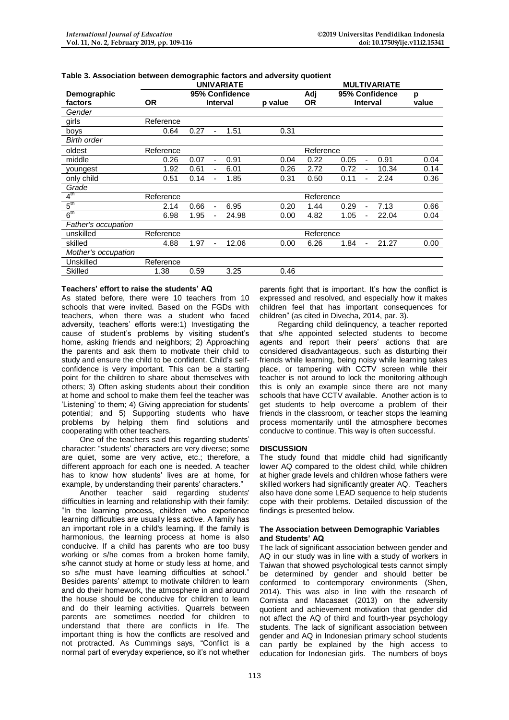|                     | <b>UNIVARIATE</b> |                 |                          |         |           | <b>MULTIVARIATE</b> |                                      |       |      |  |
|---------------------|-------------------|-----------------|--------------------------|---------|-----------|---------------------|--------------------------------------|-------|------|--|
| Demographic         |                   | 95% Confidence  |                          |         | Adj       | 95% Confidence      |                                      | р     |      |  |
| factors             | <b>OR</b>         | <b>Interval</b> |                          | p value | 0R        | <b>Interval</b>     |                                      | value |      |  |
| Gender              |                   |                 |                          |         |           |                     |                                      |       |      |  |
| girls               | Reference         |                 |                          |         |           |                     |                                      |       |      |  |
| boys                | 0.64              | 0.27            | $\overline{\phantom{a}}$ | 1.51    | 0.31      |                     |                                      |       |      |  |
| <b>Birth order</b>  |                   |                 |                          |         |           |                     |                                      |       |      |  |
| oldest              | Reference         |                 |                          |         | Reference |                     |                                      |       |      |  |
| middle              | 0.26              | 0.07            | $\overline{\phantom{a}}$ | 0.91    | 0.04      | 0.22                | 0.05<br>$\qquad \qquad \blacksquare$ | 0.91  | 0.04 |  |
| youngest            | 1.92              | 0.61            | $\overline{\phantom{a}}$ | 6.01    | 0.26      | 2.72                | 0.72<br>ä,                           | 10.34 | 0.14 |  |
| only child          | 0.51              | 0.14            |                          | 1.85    | 0.31      | 0.50                | 0.11                                 | 2.24  | 0.36 |  |
| Grade               |                   |                 |                          |         |           |                     |                                      |       |      |  |
| 4 <sup>th</sup>     | Reference         |                 |                          |         | Reference |                     |                                      |       |      |  |
| 5 <sup>th</sup>     | 2.14              | 0.66            | $\overline{\phantom{a}}$ | 6.95    | 0.20      | 1.44                | 0.29<br>$\overline{\phantom{a}}$     | 7.13  | 0.66 |  |
| 6 <sup>th</sup>     | 6.98              | 1.95            | $\overline{\phantom{a}}$ | 24.98   | 0.00      | 4.82                | 1.05<br>$\overline{\phantom{a}}$     | 22.04 | 0.04 |  |
| Father's occupation |                   |                 |                          |         |           |                     |                                      |       |      |  |
| unskilled           | Reference         |                 | Reference                |         |           |                     |                                      |       |      |  |
| skilled             | 4.88              | 1.97            | $\blacksquare$           | 12.06   | 0.00      | 6.26                | 1.84<br>$\qquad \qquad \blacksquare$ | 21.27 | 0.00 |  |
| Mother's occupation |                   |                 |                          |         |           |                     |                                      |       |      |  |
| Unskilled           | Reference         |                 |                          |         |           |                     |                                      |       |      |  |
| <b>Skilled</b>      | 1.38              | 0.59            |                          | 3.25    | 0.46      |                     |                                      |       |      |  |

## **Table 3. Association between demographic factors and adversity quotient**

## **Teachers' effort to raise the students' AQ**

As stated before, there were 10 teachers from 10 schools that were invited. Based on the FGDs with teachers, when there was a student who faced adversity, teachers' efforts were:1) Investigating the cause of student's problems by visiting student's home, asking friends and neighbors; 2) Approaching the parents and ask them to motivate their child to study and ensure the child to be confident. Child's selfconfidence is very important. This can be a starting point for the children to share about themselves with others; 3) Often asking students about their condition at home and school to make them feel the teacher was 'Listening' to them; 4) Giving appreciation for students' potential; and 5) Supporting students who have problems by helping them find solutions and cooperating with other teachers.

One of the teachers said this regarding students' character: "students' characters are very diverse; some are quiet, some are very active, etc.; therefore, a different approach for each one is needed. A teacher has to know how students' lives are at home, for example, by understanding their parents' characters."

Another teacher said regarding students' difficulties in learning and relationship with their family: "In the learning process, children who experience learning difficulties are usually less active. A family has an important role in a child's learning. If the family is harmonious, the learning process at home is also conducive. If a child has parents who are too busy working or s/he comes from a broken home family, s/he cannot study at home or study less at home, and so s/he must have learning difficulties at school." Besides parents' attempt to motivate children to learn and do their homework, the atmosphere in and around the house should be conducive for children to learn and do their learning activities. Quarrels between parents are sometimes needed for children to understand that there are conflicts in life. The important thing is how the conflicts are resolved and not protracted. As Cummings says, "Conflict is a normal part of everyday experience, so it's not whether

parents fight that is important. It's how the conflict is expressed and resolved, and especially how it makes children feel that has important consequences for children" (as cited in Divecha, 2014, par. 3).

Regarding child delinquency, a teacher reported that s/he appointed selected students to become agents and report their peers' actions that are considered disadvantageous, such as disturbing their friends while learning, being noisy while learning takes place, or tampering with CCTV screen while their teacher is not around to lock the monitoring although this is only an example since there are not many schools that have CCTV available. Another action is to get students to help overcome a problem of their friends in the classroom, or teacher stops the learning process momentarily until the atmosphere becomes conducive to continue. This way is often successful.

## **DISCUSSION**

The study found that middle child had significantly lower AQ compared to the oldest child, while children at higher grade levels and children whose fathers were skilled workers had significantly greater AQ. Teachers also have done some LEAD sequence to help students cope with their problems. Detailed discussion of the findings is presented below.

#### **The Association between Demographic Variables and Students' AQ**

The lack of significant association between gender and AQ in our study was in line with a study of workers in Taiwan that showed psychological tests cannot simply be determined by gender and should better be conformed to contemporary environments (Shen, 2014). This was also in line with the research of Cornista and Macasaet (2013) on the adversity quotient and achievement motivation that gender did not affect the AQ of third and fourth-year psychology students. The lack of significant association between gender and AQ in Indonesian primary school students can partly be explained by the high access to education for Indonesian girls. The numbers of boys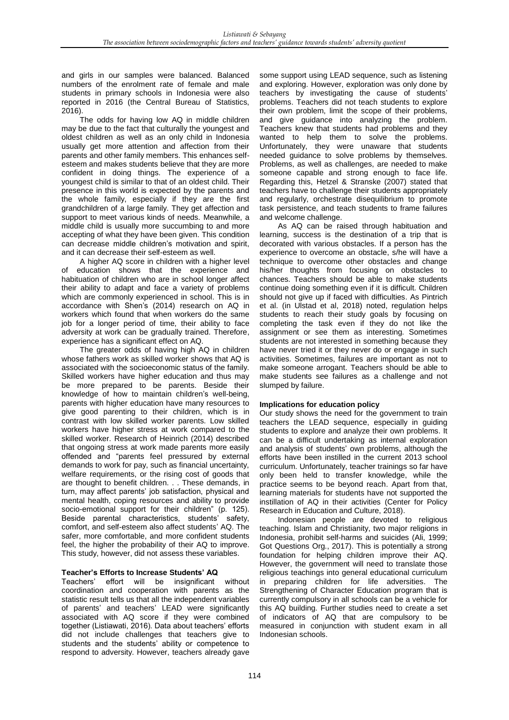and girls in our samples were balanced. Balanced numbers of the enrolment rate of female and male students in primary schools in Indonesia were also reported in 2016 (the Central Bureau of Statistics, 2016).

The odds for having low AQ in middle children may be due to the fact that culturally the youngest and oldest children as well as an only child in Indonesia usually get more attention and affection from their parents and other family members. This enhances selfesteem and makes students believe that they are more confident in doing things. The experience of a youngest child is similar to that of an oldest child. Their presence in this world is expected by the parents and the whole family, especially if they are the first grandchildren of a large family. They get affection and support to meet various kinds of needs. Meanwhile, a middle child is usually more succumbing to and more accepting of what they have been given. This condition can decrease middle children's motivation and spirit, and it can decrease their self-esteem as well.

A higher AQ score in children with a higher level of education shows that the experience and habituation of children who are in school longer affect their ability to adapt and face a variety of problems which are commonly experienced in school. This is in accordance with Shen's (2014) research on AQ in workers which found that when workers do the same job for a longer period of time, their ability to face adversity at work can be gradually trained. Therefore, experience has a significant effect on AQ.

The greater odds of having high AQ in children whose fathers work as skilled worker shows that AQ is associated with the socioeconomic status of the family. Skilled workers have higher education and thus may be more prepared to be parents. Beside their knowledge of how to maintain children's well-being, parents with higher education have many resources to give good parenting to their children, which is in contrast with low skilled worker parents. Low skilled workers have higher stress at work compared to the skilled worker. Research of Heinrich (2014) described that ongoing stress at work made parents more easily offended and "parents feel pressured by external demands to work for pay, such as financial uncertainty, welfare requirements, or the rising cost of goods that are thought to benefit children. . . These demands, in turn, may affect parents' job satisfaction, physical and mental health, coping resources and ability to provide socio-emotional support for their children" (p. 125). Beside parental characteristics, students' safety, comfort, and self-esteem also affect students' AQ. The safer, more comfortable, and more confident students feel, the higher the probability of their AQ to improve. This study, however, did not assess these variables.

## **Teacher's Efforts to Increase Students' AQ**

Teachers' effort will be insignificant without coordination and cooperation with parents as the statistic result tells us that all the independent variables of parents' and teachers' LEAD were significantly associated with AQ score if they were combined together (Listiawati, 2016). Data about teachers' efforts did not include challenges that teachers give to students and the students' ability or competence to respond to adversity. However, teachers already gave

some support using LEAD sequence, such as listening and exploring. However, exploration was only done by teachers by investigating the cause of students' problems. Teachers did not teach students to explore their own problem, limit the scope of their problems, and give guidance into analyzing the problem. Teachers knew that students had problems and they wanted to help them to solve the problems. Unfortunately, they were unaware that students needed guidance to solve problems by themselves. Problems, as well as challenges, are needed to make someone capable and strong enough to face life. Regarding this, Hetzel & Stranske (2007) stated that teachers have to challenge their students appropriately and regularly, orchestrate disequilibrium to promote task persistence, and teach students to frame failures and welcome challenge.

As AQ can be raised through habituation and learning, success is the destination of a trip that is decorated with various obstacles. If a person has the experience to overcome an obstacle, s/he will have a technique to overcome other obstacles and change his/her thoughts from focusing on obstacles to chances. Teachers should be able to make students continue doing something even if it is difficult. Children should not give up if faced with difficulties. As Pintrich et al. (in Ulstad et al, 2018) noted, regulation helps students to reach their study goals by focusing on completing the task even if they do not like the assignment or see them as interesting. Sometimes students are not interested in something because they have never tried it or they never do or engage in such activities. Sometimes, failures are important as not to make someone arrogant. Teachers should be able to make students see failures as a challenge and not slumped by failure.

## **Implications for education policy**

Our study shows the need for the government to train teachers the LEAD sequence, especially in guiding students to explore and analyze their own problems. It can be a difficult undertaking as internal exploration and analysis of students' own problems, although the efforts have been instilled in the current 2013 school curriculum. Unfortunately, teacher trainings so far have only been held to transfer knowledge, while the practice seems to be beyond reach. Apart from that, learning materials for students have not supported the instillation of AQ in their activities (Center for Policy Research in Education and Culture, 2018).

Indonesian people are devoted to religious teaching. Islam and Christianity, two major religions in Indonesia, prohibit self-harms and suicides (Ali, 1999; Got Questions Org., 2017). This is potentially a strong foundation for helping children improve their AQ. However, the government will need to translate those religious teachings into general educational curriculum in preparing children for life adversities. The Strengthening of Character Education program that is currently compulsory in all schools can be a vehicle for this AQ building. Further studies need to create a set of indicators of AQ that are compulsory to be measured in conjunction with student exam in all Indonesian schools.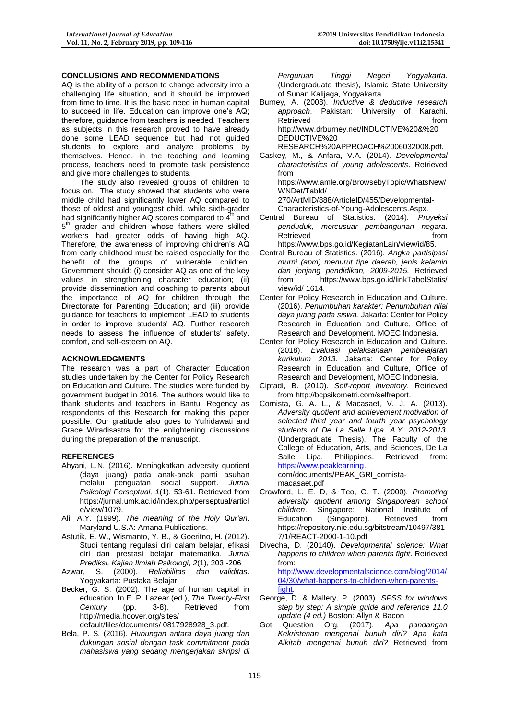## **CONCLUSIONS AND RECOMMENDATIONS**

AQ is the ability of a person to change adversity into a challenging life situation, and it should be improved from time to time. It is the basic need in human capital to succeed in life. Education can improve one's AQ; therefore, guidance from teachers is needed. Teachers as subjects in this research proved to have already done some LEAD sequence but had not guided students to explore and analyze problems by themselves. Hence, in the teaching and learning process, teachers need to promote task persistence and give more challenges to students.

The study also revealed groups of children to focus on. The study showed that students who were middle child had significantly lower AQ compared to those of oldest and youngest child, while sixth-grader had significantly higher AQ scores compared to  $4<sup>th</sup>$  and 5<sup>th</sup> grader and children whose fathers were skilled workers had greater odds of having high AQ. Therefore, the awareness of improving children's AQ from early childhood must be raised especially for the benefit of the groups of vulnerable children. Government should: (i) consider AQ as one of the key values in strengthening character education; (ii) provide dissemination and coaching to parents about the importance of AQ for children through the Directorate for Parenting Education; and (iii) provide guidance for teachers to implement LEAD to students in order to improve students' AQ. Further research needs to assess the influence of students' safety, comfort, and self-esteem on AQ.

#### **ACKNOWLEDGMENTS**

The research was a part of Character Education studies undertaken by the Center for Policy Research on Education and Culture. The studies were funded by government budget in 2016. The authors would like to thank students and teachers in Bantul Regency as respondents of this Research for making this paper possible. Our gratitude also goes to Yufridawati and Grace Wiradisastra for the enlightening discussions during the preparation of the manuscript.

## **REFERENCES**

- Ahyani, L.N. (2016). Meningkatkan adversity quotient (daya juang) pada anak-anak panti asuhan melalui penguatan social support. *Jurnal Psikologi Perseptual, 1*(1), 53-61. Retrieved from https://jurnal.umk.ac.id/index.php/perseptual/articl e/view/1079.
- Ali, A.Y. (1999). *The meaning of the Holy Qur'an*. Maryland U.S.A: Amana Publications.
- Astutik, E. W., Wismanto, Y. B., & Goeritno, H. (2012). Studi tentang regulasi diri dalam belajar, efikasi diri dan prestasi belajar matematika. *Jurnal Prediksi, Kajian Ilmiah Psikologi*, *2*(1), 203 -206
- Azwar, S. (2000). *Reliabilitas dan validitas*. Yogyakarta: Pustaka Belajar.
- Becker, G. S. (2002). The age of human capital in education. In E. P. Lazear (ed.), *The Twenty-First Century* (pp. 3-8). Retrieved from [http://media.hoover.org/sites/](http://media.hoover.org/sites/%20default/)  [default/f](http://media.hoover.org/sites/%20default/)iles/documents/ 0817928928\_3.pdf.
- Bela, P. S. (2016). *Hubungan antara daya juang dan dukungan sosial dengan task commitment pada mahasiswa yang sedang mengerjakan skripsi di*

*Perguruan Tinggi Negeri Yogyakarta*. (Undergraduate thesis), Islamic State University of Sunan Kalijaga, Yogyakarta.

- Burney, A. (2008). *Inductive & deductive research approach*. Pakistan: University of Karachi. Retrieved **from** [http://www.drburney.net/INDUCTIVE%20&%20](http://www.drburney.net/INDUCTIVE%20&%20%20DEDUCTIVE)  [DEDUCTIVE%20](http://www.drburney.net/INDUCTIVE%20&%20%20DEDUCTIVE) RESEARCH%20APPROACH%2006032008.pdf.
- Caskey, M., & Anfara, V.A. (2014). *Developmental characteristics of young adolescents*. Retrieved

from [https://www.amle.org/BrowsebyTopic/WhatsNew/](https://www.amle.org/BrowsebyTopic/WhatsNew/WNDet/TabId/%20270/) [WNDet/TabId/](https://www.amle.org/BrowsebyTopic/WhatsNew/WNDet/TabId/%20270/) 

[270/A](https://www.amle.org/BrowsebyTopic/WhatsNew/WNDet/TabId/%20270/)rtMID/888/ArticleID/455/Developmental-

Characteristics-of-Young-Adolescents.Aspx.

- Central Bureau of Statistics. (2014). *Proyeksi penduduk, mercusuar pembangunan negara*. Retrieved **from** [https://www.bps.go.id/KegiatanLain/view/id/85.](https://www.bps.go.id/KegiatanLain/view/id/85)
- Central Bureau of Statistics. (2016). *Angka partisipasi murni (apm) menurut tipe daerah, jenis kelamin dan jenjang pendidikan, 2009-2015.* Retrieved from [https://www.bps.go.id/linkTabelStatis/](https://www.bps.go.id/linkTabelStatis/%20view/id/%201614)  [view/id/ 1614.](https://www.bps.go.id/linkTabelStatis/%20view/id/%201614)
- Center for Policy Research in Education and Culture. (2016). *Penumbuhan karakter: Penumbuhan nilai daya juang pada siswa.* Jakarta: Center for Policy Research in Education and Culture, Office of Research and Development, MOEC Indonesia.
- Center for Policy Research in Education and Culture. (2018). *Evaluasi pelaksanaan pembelajaran kurikulum 2013*. Jakarta: Center for Policy Research in Education and Culture, Office of Research and Development, MOEC Indonesia.
- Ciptadi, B. (2010). *Self-report inventory*. Retrieved fro[m http://bcpsikometri.com/selfreport.](http://bcpsikometri.com/selfreport)
- Cornista, G. A. L., & Macasaet, V. J. A. (2013). *Adversity quotient and achievement motivation of selected third year and fourth year psychology students of De La Salle Lipa. A.Y. 2012-2013*. (Undergraduate Thesis). The Faculty of the College of Education, Arts, and Sciences, De La<br>Salle Lipa, Philippines. Retrieved from: Salle Lipa, Philippines. [https://www.peaklearning.](https://www.peaklearning/) com/documents/PEAK\_GRI\_cornista-

macasaet.pdf

- Crawford, L. E. D, & Teo, C. T. (2000). *Promoting adversity quotient among Singaporean school children*. Singapore: National Institute of Education (Singapore). Retrieved from https://repository.nie.edu.sg/bitstream/10497/381 7/1/REACT-2000-1-10.pdf
- Divecha, D. (20140). *Developmental science: What happens to children when parents fight*. Retrieved from: [http://www.developmentalscience.com/blog/2014/](http://www.developmentalscience.com/blog/2014/04/30/what-happens-to-children-when-parents-fight) [04/30/what-happens-to-children-when-parents](http://www.developmentalscience.com/blog/2014/04/30/what-happens-to-children-when-parents-fight)[fight.](http://www.developmentalscience.com/blog/2014/04/30/what-happens-to-children-when-parents-fight)
- George, D. & Mallery, P. (2003). *SPSS for windows step by step: A simple guide and reference 11.0 update (4 ed.)* Boston: Allyn & Bacon
- Got Question Org. (2017). *Apa pandangan Kekristenan mengenai bunuh diri? Apa kata Alkitab mengenai bunuh diri?* Retrieved from